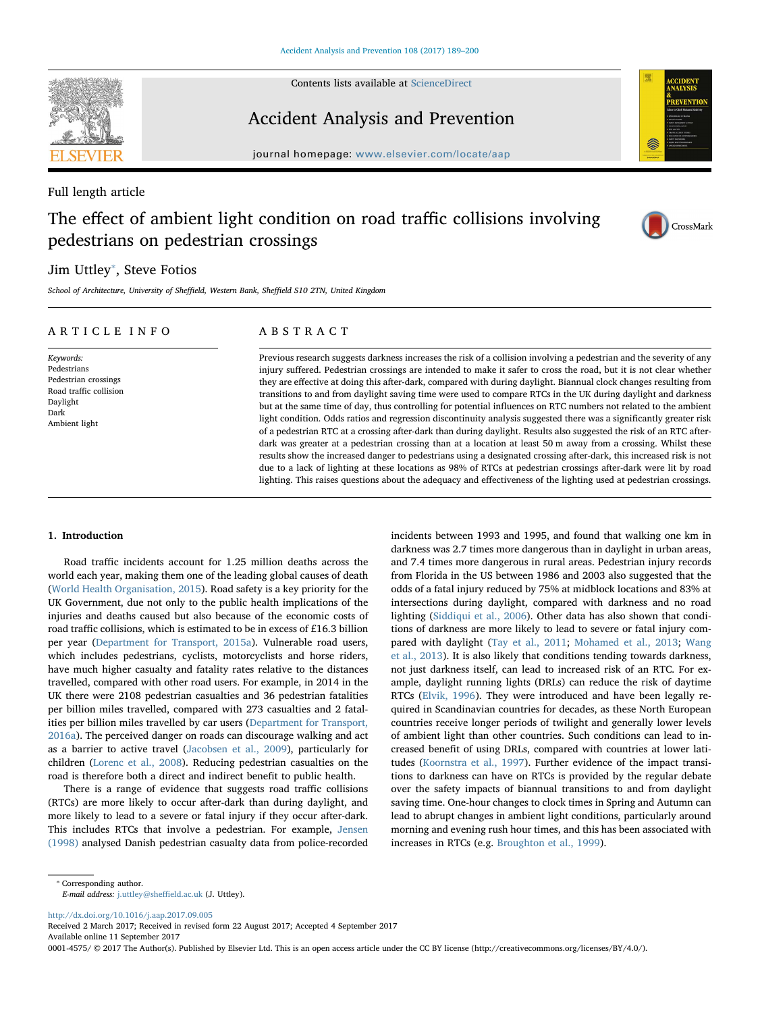

Contents lists available at [ScienceDirect](http://www.sciencedirect.com/science/journal/00014575)

Accident Analysis and Prevention



journal homepage: [www.elsevier.com/locate/aap](http://www.elsevier.com/locate/aap)

Full length article

# The effect of ambient light condition on road traffic collisions involving pedestrians on pedestrian crossings



# Jim Uttley<sup>\*</sup>, Steve Fotios

School of Architecture, University of Sheffield, Western Bank, Sheffield S10 2TN, United Kingdom

### ARTICLE INFO

Keywords: Pedestrians Pedestrian crossings Road traffic collision Daylight Dark Ambient light

## ABSTRACT

Previous research suggests darkness increases the risk of a collision involving a pedestrian and the severity of any injury suffered. Pedestrian crossings are intended to make it safer to cross the road, but it is not clear whether they are effective at doing this after-dark, compared with during daylight. Biannual clock changes resulting from transitions to and from daylight saving time were used to compare RTCs in the UK during daylight and darkness but at the same time of day, thus controlling for potential influences on RTC numbers not related to the ambient light condition. Odds ratios and regression discontinuity analysis suggested there was a significantly greater risk of a pedestrian RTC at a crossing after-dark than during daylight. Results also suggested the risk of an RTC afterdark was greater at a pedestrian crossing than at a location at least 50 m away from a crossing. Whilst these results show the increased danger to pedestrians using a designated crossing after-dark, this increased risk is not due to a lack of lighting at these locations as 98% of RTCs at pedestrian crossings after-dark were lit by road lighting. This raises questions about the adequacy and effectiveness of the lighting used at pedestrian crossings.

### 1. Introduction

Road traffic incidents account for 1.25 million deaths across the world each year, making them one of the leading global causes of death ([World Health Organisation, 2015\)](#page-11-0). Road safety is a key priority for the UK Government, due not only to the public health implications of the injuries and deaths caused but also because of the economic costs of road traffic collisions, which is estimated to be in excess of £16.3 billion per year [\(Department for Transport, 2015a](#page-10-0)). Vulnerable road users, which includes pedestrians, cyclists, motorcyclists and horse riders, have much higher casualty and fatality rates relative to the distances travelled, compared with other road users. For example, in 2014 in the UK there were 2108 pedestrian casualties and 36 pedestrian fatalities per billion miles travelled, compared with 273 casualties and 2 fatalities per billion miles travelled by car users ([Department for Transport,](#page-10-1) [2016a\)](#page-10-1). The perceived danger on roads can discourage walking and act as a barrier to active travel [\(Jacobsen et al., 2009\)](#page-11-1), particularly for children [\(Lorenc et al., 2008\)](#page-11-2). Reducing pedestrian casualties on the road is therefore both a direct and indirect benefit to public health.

There is a range of evidence that suggests road traffic collisions (RTCs) are more likely to occur after-dark than during daylight, and more likely to lead to a severe or fatal injury if they occur after-dark. This includes RTCs that involve a pedestrian. For example, [Jensen](#page-11-3) [\(1998\)](#page-11-3) analysed Danish pedestrian casualty data from police-recorded incidents between 1993 and 1995, and found that walking one km in darkness was 2.7 times more dangerous than in daylight in urban areas, and 7.4 times more dangerous in rural areas. Pedestrian injury records from Florida in the US between 1986 and 2003 also suggested that the odds of a fatal injury reduced by 75% at midblock locations and 83% at intersections during daylight, compared with darkness and no road lighting ([Siddiqui et al., 2006\)](#page-11-4). Other data has also shown that conditions of darkness are more likely to lead to severe or fatal injury compared with daylight [\(Tay et al., 2011;](#page-11-5) [Mohamed et al., 2013;](#page-11-6) [Wang](#page-11-7) [et al., 2013](#page-11-7)). It is also likely that conditions tending towards darkness, not just darkness itself, can lead to increased risk of an RTC. For example, daylight running lights (DRLs) can reduce the risk of daytime RTCs [\(Elvik, 1996\)](#page-11-8). They were introduced and have been legally required in Scandinavian countries for decades, as these North European countries receive longer periods of twilight and generally lower levels of ambient light than other countries. Such conditions can lead to increased benefit of using DRLs, compared with countries at lower latitudes ([Koornstra et al., 1997](#page-11-9)). Further evidence of the impact transitions to darkness can have on RTCs is provided by the regular debate over the safety impacts of biannual transitions to and from daylight saving time. One-hour changes to clock times in Spring and Autumn can lead to abrupt changes in ambient light conditions, particularly around morning and evening rush hour times, and this has been associated with increases in RTCs (e.g. [Broughton et al., 1999](#page-10-2)).

<http://dx.doi.org/10.1016/j.aap.2017.09.005>

Received 2 March 2017; Received in revised form 22 August 2017; Accepted 4 September 2017 Available online 11 September 2017

0001-4575/ © 2017 The Author(s). Published by Elsevier Ltd. This is an open access article under the CC BY license (http://creativecommons.org/licenses/BY/4.0/).

<span id="page-0-0"></span><sup>⁎</sup> Corresponding author.

E-mail address: [j.uttley@she](mailto:j.uttley@sheffield.ac.uk)ffield.ac.uk (J. Uttley).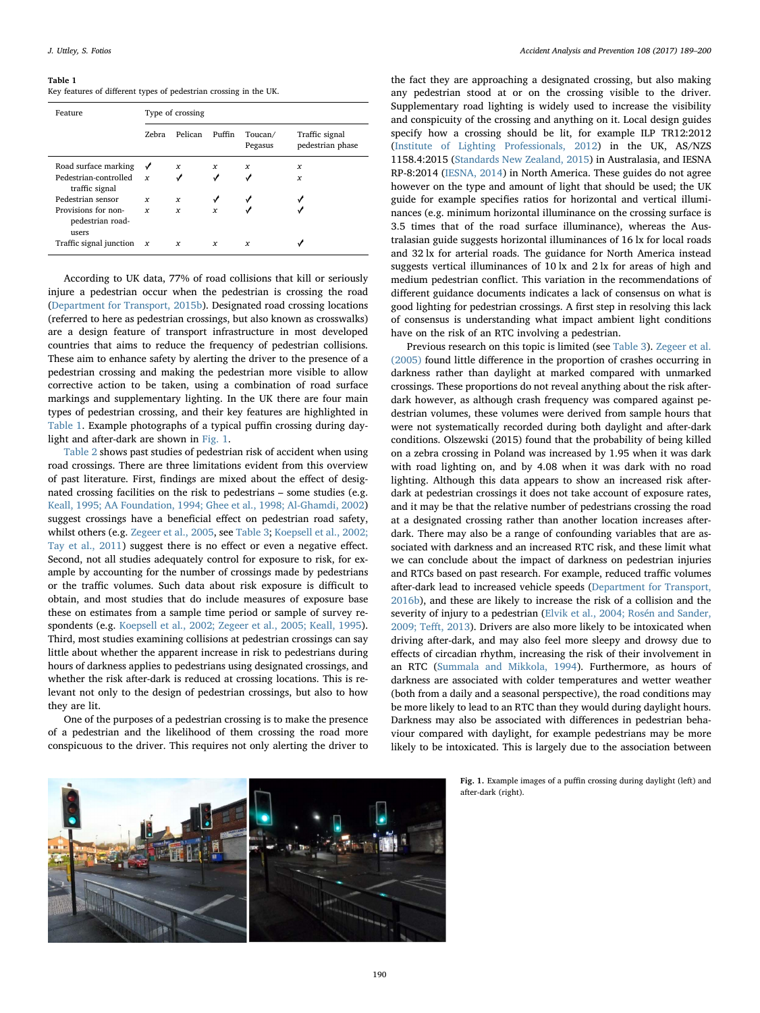#### <span id="page-1-0"></span>Table 1

| Feature                                          | Type of crossing |                  |                  |                    |                                    |  |
|--------------------------------------------------|------------------|------------------|------------------|--------------------|------------------------------------|--|
|                                                  | Zebra            | Pelican          | Puffin           | Toucan/<br>Pegasus | Traffic signal<br>pedestrian phase |  |
| Road surface marking                             | ✓                | x                | x                | x                  | x                                  |  |
| Pedestrian-controlled<br>traffic signal          | x                |                  |                  |                    | x                                  |  |
| Pedestrian sensor                                | x                | $\boldsymbol{x}$ |                  |                    |                                    |  |
| Provisions for non-<br>pedestrian road-<br>users | x                | $\boldsymbol{x}$ | $\boldsymbol{x}$ |                    |                                    |  |
| Traffic signal junction $x$                      |                  | x                | $\boldsymbol{x}$ | x                  |                                    |  |

According to UK data, 77% of road collisions that kill or seriously injure a pedestrian occur when the pedestrian is crossing the road ([Department for Transport, 2015b\)](#page-10-3). Designated road crossing locations (referred to here as pedestrian crossings, but also known as crosswalks) are a design feature of transport infrastructure in most developed countries that aims to reduce the frequency of pedestrian collisions. These aim to enhance safety by alerting the driver to the presence of a pedestrian crossing and making the pedestrian more visible to allow corrective action to be taken, using a combination of road surface markings and supplementary lighting. In the UK there are four main types of pedestrian crossing, and their key features are highlighted in [Table 1](#page-1-0). Example photographs of a typical puffin crossing during daylight and after-dark are shown in [Fig. 1.](#page-1-1)

[Table 2](#page-2-0) shows past studies of pedestrian risk of accident when using road crossings. There are three limitations evident from this overview of past literature. First, findings are mixed about the effect of designated crossing facilities on the risk to pedestrians – some studies (e.g. [Keall, 1995; AA Foundation, 1994; Ghee et al., 1998; Al-Ghamdi, 2002\)](#page-11-10) suggest crossings have a beneficial effect on pedestrian road safety, whilst others (e.g. [Zegeer et al., 2005,](#page-11-11) see [Table 3](#page-3-0); [Koepsell et al., 2002;](#page-11-12) [Tay et al., 2011\)](#page-11-12) suggest there is no effect or even a negative effect. Second, not all studies adequately control for exposure to risk, for example by accounting for the number of crossings made by pedestrians or the traffic volumes. Such data about risk exposure is difficult to obtain, and most studies that do include measures of exposure base these on estimates from a sample time period or sample of survey respondents (e.g. [Koepsell et al., 2002; Zegeer et al., 2005; Keall, 1995](#page-11-12)). Third, most studies examining collisions at pedestrian crossings can say little about whether the apparent increase in risk to pedestrians during hours of darkness applies to pedestrians using designated crossings, and whether the risk after-dark is reduced at crossing locations. This is relevant not only to the design of pedestrian crossings, but also to how they are lit.

One of the purposes of a pedestrian crossing is to make the presence of a pedestrian and the likelihood of them crossing the road more conspicuous to the driver. This requires not only alerting the driver to

the fact they are approaching a designated crossing, but also making any pedestrian stood at or on the crossing visible to the driver. Supplementary road lighting is widely used to increase the visibility and conspicuity of the crossing and anything on it. Local design guides specify how a crossing should be lit, for example ILP TR12:2012 ([Institute of Lighting Professionals, 2012](#page-11-13)) in the UK, AS/NZS 1158.4:2015 ([Standards New Zealand, 2015](#page-11-14)) in Australasia, and IESNA RP-8:2014 ([IESNA, 2014](#page-11-15)) in North America. These guides do not agree however on the type and amount of light that should be used; the UK guide for example specifies ratios for horizontal and vertical illuminances (e.g. minimum horizontal illuminance on the crossing surface is 3.5 times that of the road surface illuminance), whereas the Australasian guide suggests horizontal illuminances of 16 lx for local roads and 32 lx for arterial roads. The guidance for North America instead suggests vertical illuminances of 10 lx and 2 lx for areas of high and medium pedestrian conflict. This variation in the recommendations of different guidance documents indicates a lack of consensus on what is good lighting for pedestrian crossings. A first step in resolving this lack of consensus is understanding what impact ambient light conditions have on the risk of an RTC involving a pedestrian.

Previous research on this topic is limited (see [Table 3\)](#page-3-0). [Zegeer et al.](#page-11-11) [\(2005\)](#page-11-11) found little difference in the proportion of crashes occurring in darkness rather than daylight at marked compared with unmarked crossings. These proportions do not reveal anything about the risk afterdark however, as although crash frequency was compared against pedestrian volumes, these volumes were derived from sample hours that were not systematically recorded during both daylight and after-dark conditions. Olszewski (2015) found that the probability of being killed on a zebra crossing in Poland was increased by 1.95 when it was dark with road lighting on, and by 4.08 when it was dark with no road lighting. Although this data appears to show an increased risk afterdark at pedestrian crossings it does not take account of exposure rates, and it may be that the relative number of pedestrians crossing the road at a designated crossing rather than another location increases afterdark. There may also be a range of confounding variables that are associated with darkness and an increased RTC risk, and these limit what we can conclude about the impact of darkness on pedestrian injuries and RTCs based on past research. For example, reduced traffic volumes after-dark lead to increased vehicle speeds [\(Department for Transport,](#page-10-4) [2016b\)](#page-10-4), and these are likely to increase the risk of a collision and the severity of injury to a pedestrian [\(Elvik et al., 2004; Rosén and Sander,](#page-10-5) [2009; Te](#page-10-5)fft, 2013). Drivers are also more likely to be intoxicated when driving after-dark, and may also feel more sleepy and drowsy due to effects of circadian rhythm, increasing the risk of their involvement in an RTC ([Summala and Mikkola, 1994](#page-11-16)). Furthermore, as hours of darkness are associated with colder temperatures and wetter weather (both from a daily and a seasonal perspective), the road conditions may be more likely to lead to an RTC than they would during daylight hours. Darkness may also be associated with differences in pedestrian behaviour compared with daylight, for example pedestrians may be more likely to be intoxicated. This is largely due to the association between

<span id="page-1-1"></span>

Fig. 1. Example images of a puffin crossing during daylight (left) and after-dark (right).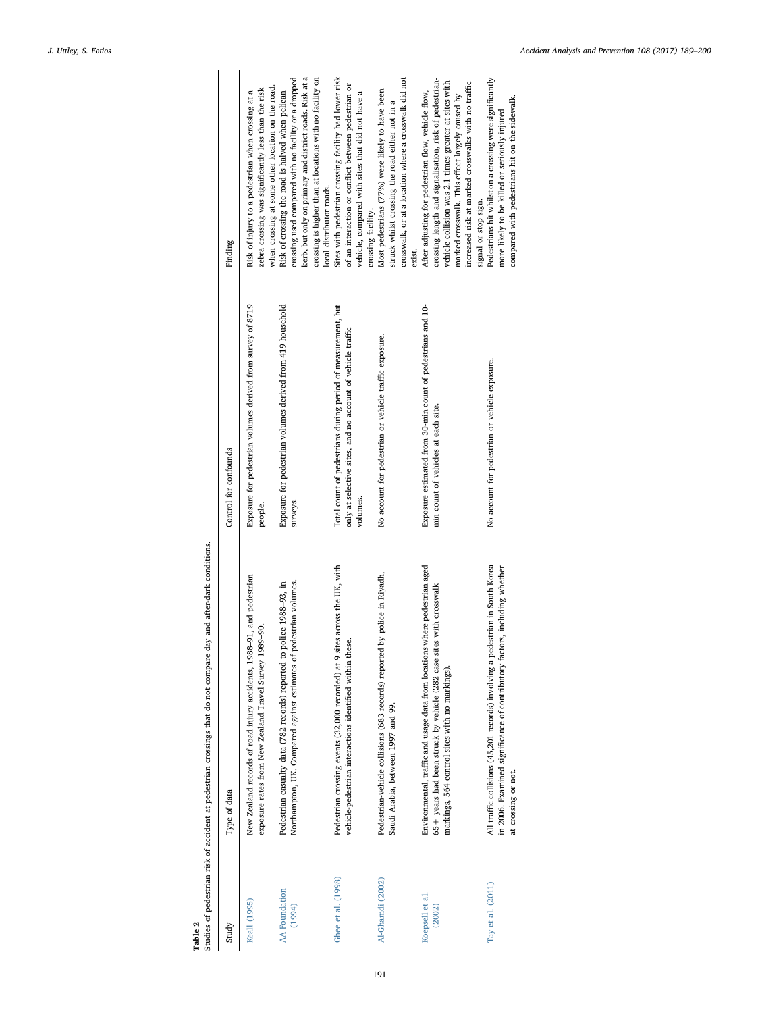|   | t, |
|---|----|
| ี |    |
| ╝ | ċ  |
| Ê | i  |

Studies of pedestrian risk of accident at pedestrian crossings that do not compare day and after-dark conditions. -dark c ıd after ਨੂੰ 국 م<br>م - š 류 ्ट्  $\frac{1}{2}$ ه<br>۹  $\vec{r}$  $\frac{1}{2}$ \_e

<span id="page-2-0"></span>

|                           | and after-dark conditions.<br>Studies of pedestrian risk of accident at pedestrian crossings that do not compare day                                                                                    |                                                                                                                                        |                                                                                                                                                                                                                                                                                 |
|---------------------------|---------------------------------------------------------------------------------------------------------------------------------------------------------------------------------------------------------|----------------------------------------------------------------------------------------------------------------------------------------|---------------------------------------------------------------------------------------------------------------------------------------------------------------------------------------------------------------------------------------------------------------------------------|
| Study                     | Type of data                                                                                                                                                                                            | Control for confounds                                                                                                                  | Finding                                                                                                                                                                                                                                                                         |
| Keall (1995)              | New Zealand records of road injury accidents, 1988-91, and pedestrian<br>exposure rates from New Zealand Travel Survey 1989-90.                                                                         | Exposure for pedestrian volumes derived from survey of 8719<br>people.                                                                 | when crossing at some other location on the road.<br>zebra crossing was significantly less than the risk<br>Risk of injury to a pedestrian when crossing at a                                                                                                                   |
| AA Foundation<br>(1994)   | Pedestrian casualty data (782 records) reported to police 1988-93, in<br>Northampton, UK. Compared against estimates of pedestrian volumes.                                                             | Exposure for pedestrian volumes derived from 419 household<br>surveys.                                                                 | kerb, but only on primary and district roads. Risk at a<br>crossing used compared with no facility or a dropped<br>crossing is higher than at locations with no facility on<br>Risk of crossing the road is halved when pelican<br>local distributor roads.                     |
| Chee et al. (1998)        | Pedestrian crossing events (32,000 recorded) at 9 sites across the UK, with<br>vehicle-pedestrian interactions identified within these.                                                                 | Total count of pedestrians during period of measurement, but<br>only at selective sites, and no account of vehicle traffic<br>volumes. | Sites with pedestrian crossing facility had lower risk<br>of an interaction or conflict between pedestrian or<br>vehicle, compared with sites that did not have a<br>crossing facility.                                                                                         |
| Al-Ghamdi (2002)          | police in Riyadh,<br>Pedestrian-vehicle collisions (683 records) reported by<br>Saudi Arabia, between 1997 and 99.                                                                                      | No account for pedestrian or vehicle traffic exposure.                                                                                 | crosswalk, or at a location where a crosswalk did not<br>Most pedestrians (77%) were likely to have been<br>struck whilst crossing the road either not in a<br>exist.                                                                                                           |
| Koepsell et al.<br>(2002) | Environmental, traffic and usage data from locations where pedestrian aged<br>with crosswalk<br>65 + years had been struck by vehicle (282 case sites<br>markings, 564 control sites with no markings). | Exposure estimated from 30-min count of pedestrians and 10-<br>min count of vehicles at each site.                                     | crossing length and signalisation, risk of pedestrian-<br>vehicle collision was 2.1 times greater at sites with<br>increased risk at marked crosswalks with no traffic<br>After adjusting for pedestrian flow, vehicle flow,<br>marked crosswalk. This effect largely caused by |
| Tay et al. (2011)         | All traffic collisions (45,201 records) involving a pedestrian in South Korea<br>in 2006. Examined significance of contributory factors, including whether<br>at crossing or not.                       | No account for pedestrian or vehicle exposure.                                                                                         | Pedestrians hit whilst on a crossing were significantly<br>compared with pedestrians hit on the sidewalk.<br>more likely to be killed or seriously injured<br>signal or stop sign.                                                                                              |
|                           |                                                                                                                                                                                                         |                                                                                                                                        |                                                                                                                                                                                                                                                                                 |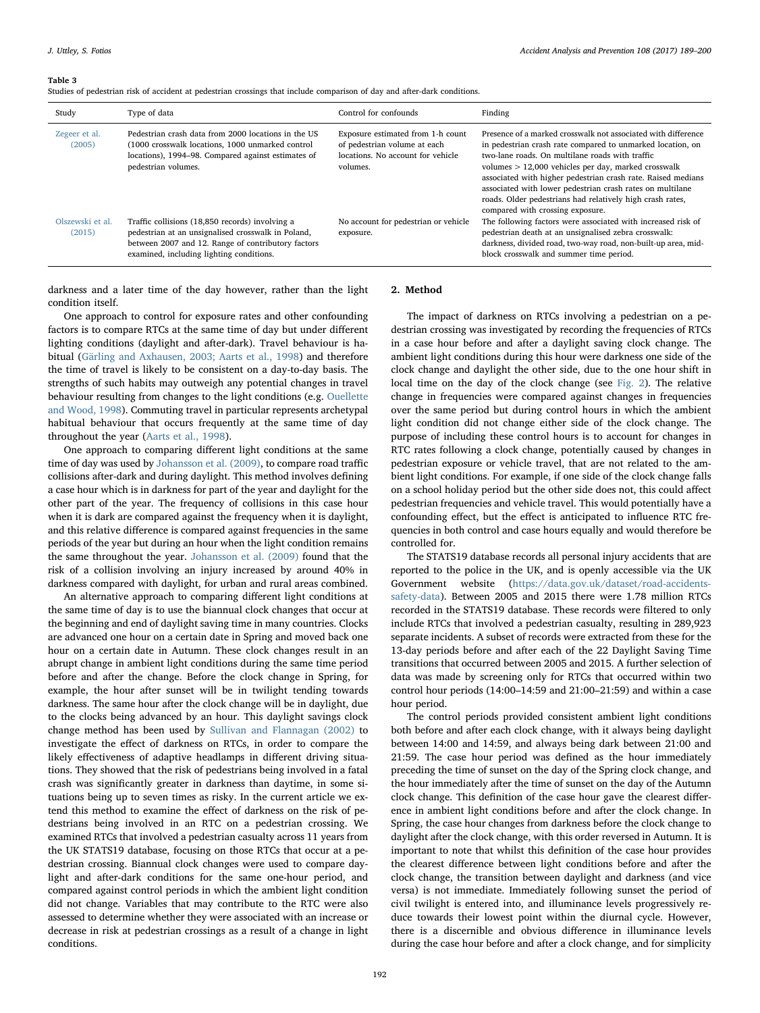#### <span id="page-3-0"></span>Table 3

Studies of pedestrian risk of accident at pedestrian crossings that include comparison of day and after-dark conditions.

| Study                      | Type of data                                                                                                                                                                                            | Control for confounds                                                                                              | Finding                                                                                                                                                                                                                                                                                                                                                                                                                                                               |
|----------------------------|---------------------------------------------------------------------------------------------------------------------------------------------------------------------------------------------------------|--------------------------------------------------------------------------------------------------------------------|-----------------------------------------------------------------------------------------------------------------------------------------------------------------------------------------------------------------------------------------------------------------------------------------------------------------------------------------------------------------------------------------------------------------------------------------------------------------------|
| Zegeer et al.<br>(2005)    | Pedestrian crash data from 2000 locations in the US<br>(1000 crosswalk locations, 1000 unmarked control<br>locations), 1994–98. Compared against estimates of<br>pedestrian volumes.                    | Exposure estimated from 1-h count<br>of pedestrian volume at each<br>locations. No account for vehicle<br>volumes. | Presence of a marked crosswalk not associated with difference<br>in pedestrian crash rate compared to unmarked location, on<br>two-lane roads. On multilane roads with traffic<br>volumes $> 12,000$ vehicles per day, marked crosswalk<br>associated with higher pedestrian crash rate. Raised medians<br>associated with lower pedestrian crash rates on multilane<br>roads. Older pedestrians had relatively high crash rates,<br>compared with crossing exposure. |
| Olszewski et al.<br>(2015) | Traffic collisions (18,850 records) involving a<br>pedestrian at an unsignalised crosswalk in Poland,<br>between 2007 and 12. Range of contributory factors<br>examined, including lighting conditions. | No account for pedestrian or vehicle<br>exposure.                                                                  | The following factors were associated with increased risk of<br>pedestrian death at an unsignalised zebra crosswalk:<br>darkness, divided road, two-way road, non-built-up area, mid-<br>block crosswalk and summer time period.                                                                                                                                                                                                                                      |

darkness and a later time of the day however, rather than the light condition itself.

One approach to control for exposure rates and other confounding factors is to compare RTCs at the same time of day but under different lighting conditions (daylight and after-dark). Travel behaviour is habitual [\(Gärling and Axhausen, 2003; Aarts et al., 1998](#page-11-18)) and therefore the time of travel is likely to be consistent on a day-to-day basis. The strengths of such habits may outweigh any potential changes in travel behaviour resulting from changes to the light conditions (e.g. [Ouellette](#page-11-19) [and Wood, 1998](#page-11-19)). Commuting travel in particular represents archetypal habitual behaviour that occurs frequently at the same time of day throughout the year ([Aarts et al., 1998\)](#page-10-8).

One approach to comparing different light conditions at the same time of day was used by [Johansson et al. \(2009\)](#page-11-20), to compare road traffic collisions after-dark and during daylight. This method involves defining a case hour which is in darkness for part of the year and daylight for the other part of the year. The frequency of collisions in this case hour when it is dark are compared against the frequency when it is daylight, and this relative difference is compared against frequencies in the same periods of the year but during an hour when the light condition remains the same throughout the year. [Johansson et al. \(2009\)](#page-11-20) found that the risk of a collision involving an injury increased by around 40% in darkness compared with daylight, for urban and rural areas combined.

An alternative approach to comparing different light conditions at the same time of day is to use the biannual clock changes that occur at the beginning and end of daylight saving time in many countries. Clocks are advanced one hour on a certain date in Spring and moved back one hour on a certain date in Autumn. These clock changes result in an abrupt change in ambient light conditions during the same time period before and after the change. Before the clock change in Spring, for example, the hour after sunset will be in twilight tending towards darkness. The same hour after the clock change will be in daylight, due to the clocks being advanced by an hour. This daylight savings clock change method has been used by [Sullivan and Flannagan \(2002\)](#page-11-21) to investigate the effect of darkness on RTCs, in order to compare the likely effectiveness of adaptive headlamps in different driving situations. They showed that the risk of pedestrians being involved in a fatal crash was significantly greater in darkness than daytime, in some situations being up to seven times as risky. In the current article we extend this method to examine the effect of darkness on the risk of pedestrians being involved in an RTC on a pedestrian crossing. We examined RTCs that involved a pedestrian casualty across 11 years from the UK STATS19 database, focusing on those RTCs that occur at a pedestrian crossing. Biannual clock changes were used to compare daylight and after-dark conditions for the same one-hour period, and compared against control periods in which the ambient light condition did not change. Variables that may contribute to the RTC were also assessed to determine whether they were associated with an increase or decrease in risk at pedestrian crossings as a result of a change in light conditions.

#### 2. Method

The impact of darkness on RTCs involving a pedestrian on a pedestrian crossing was investigated by recording the frequencies of RTCs in a case hour before and after a daylight saving clock change. The ambient light conditions during this hour were darkness one side of the clock change and daylight the other side, due to the one hour shift in local time on the day of the clock change (see [Fig. 2](#page-4-0)). The relative change in frequencies were compared against changes in frequencies over the same period but during control hours in which the ambient light condition did not change either side of the clock change. The purpose of including these control hours is to account for changes in RTC rates following a clock change, potentially caused by changes in pedestrian exposure or vehicle travel, that are not related to the ambient light conditions. For example, if one side of the clock change falls on a school holiday period but the other side does not, this could affect pedestrian frequencies and vehicle travel. This would potentially have a confounding effect, but the effect is anticipated to influence RTC frequencies in both control and case hours equally and would therefore be controlled for.

The STATS19 database records all personal injury accidents that are reported to the police in the UK, and is openly accessible via the UK Government website ([https://data.gov.uk/dataset/road-accidents](https://data.gov.uk/dataset/road-accidents-safety-data)[safety-data](https://data.gov.uk/dataset/road-accidents-safety-data)). Between 2005 and 2015 there were 1.78 million RTCs recorded in the STATS19 database. These records were filtered to only include RTCs that involved a pedestrian casualty, resulting in 289,923 separate incidents. A subset of records were extracted from these for the 13-day periods before and after each of the 22 Daylight Saving Time transitions that occurred between 2005 and 2015. A further selection of data was made by screening only for RTCs that occurred within two control hour periods (14:00–14:59 and 21:00–21:59) and within a case hour period.

The control periods provided consistent ambient light conditions both before and after each clock change, with it always being daylight between 14:00 and 14:59, and always being dark between 21:00 and 21:59. The case hour period was defined as the hour immediately preceding the time of sunset on the day of the Spring clock change, and the hour immediately after the time of sunset on the day of the Autumn clock change. This definition of the case hour gave the clearest difference in ambient light conditions before and after the clock change. In Spring, the case hour changes from darkness before the clock change to daylight after the clock change, with this order reversed in Autumn. It is important to note that whilst this definition of the case hour provides the clearest difference between light conditions before and after the clock change, the transition between daylight and darkness (and vice versa) is not immediate. Immediately following sunset the period of civil twilight is entered into, and illuminance levels progressively reduce towards their lowest point within the diurnal cycle. However, there is a discernible and obvious difference in illuminance levels during the case hour before and after a clock change, and for simplicity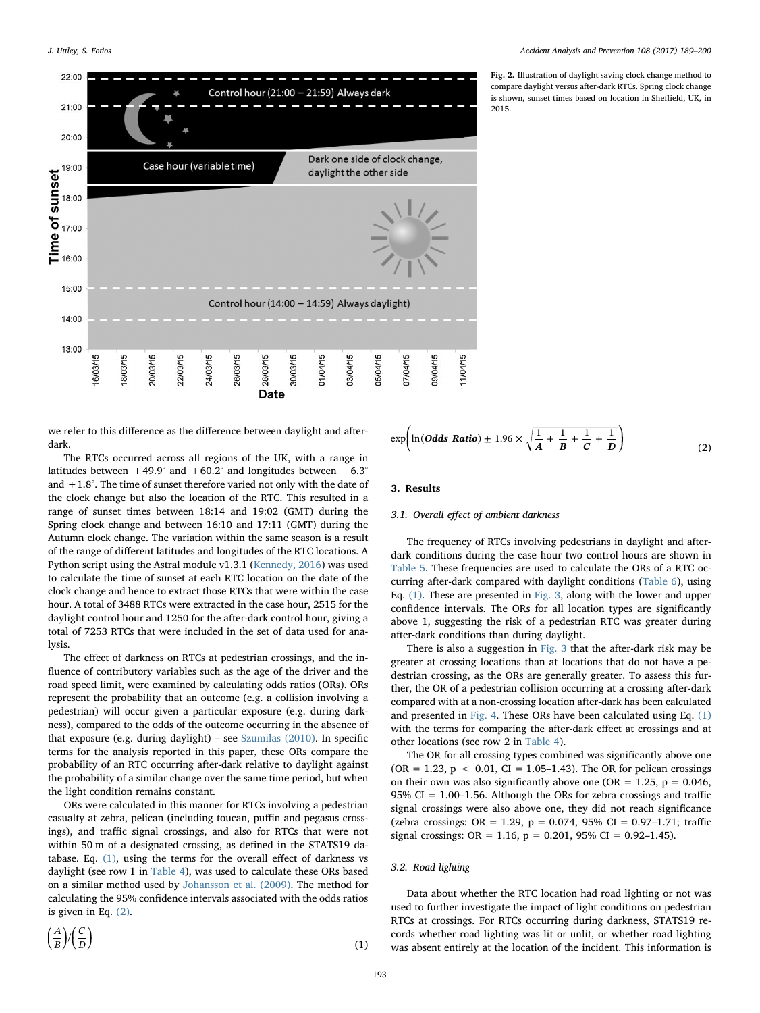<span id="page-4-0"></span>

we refer to this difference as the difference between daylight and afterdark.

The RTCs occurred across all regions of the UK, with a range in latitudes between +49.9° and +60.2° and longitudes between  $-6.3$ ° and  $+1.8^\circ$ . The time of sunset therefore varied not only with the date of the clock change but also the location of the RTC. This resulted in a range of sunset times between 18:14 and 19:02 (GMT) during the Spring clock change and between 16:10 and 17:11 (GMT) during the Autumn clock change. The variation within the same season is a result of the range of different latitudes and longitudes of the RTC locations. A Python script using the Astral module v1.3.1 [\(Kennedy, 2016\)](#page-11-23) was used to calculate the time of sunset at each RTC location on the date of the clock change and hence to extract those RTCs that were within the case hour. A total of 3488 RTCs were extracted in the case hour, 2515 for the daylight control hour and 1250 for the after-dark control hour, giving a total of 7253 RTCs that were included in the set of data used for analysis.

The effect of darkness on RTCs at pedestrian crossings, and the influence of contributory variables such as the age of the driver and the road speed limit, were examined by calculating odds ratios (ORs). ORs represent the probability that an outcome (e.g. a collision involving a pedestrian) will occur given a particular exposure (e.g. during darkness), compared to the odds of the outcome occurring in the absence of that exposure (e.g. during daylight) – see [Szumilas \(2010\)](#page-11-24). In specific terms for the analysis reported in this paper, these ORs compare the probability of an RTC occurring after-dark relative to daylight against the probability of a similar change over the same time period, but when the light condition remains constant.

ORs were calculated in this manner for RTCs involving a pedestrian casualty at zebra, pelican (including toucan, puffin and pegasus crossings), and traffic signal crossings, and also for RTCs that were not within 50 m of a designated crossing, as defined in the STATS19 database. Eq. [\(1\)](#page-4-1), using the terms for the overall effect of darkness vs daylight (see row 1 in [Table 4](#page-5-0)), was used to calculate these ORs based on a similar method used by [Johansson et al. \(2009\).](#page-11-20) The method for calculating the 95% confidence intervals associated with the odds ratios is given in Eq. [\(2\).](#page-4-2)

<span id="page-4-2"></span><span id="page-4-1"></span>
$$
\left(\frac{A}{B}\right) / \left(\frac{C}{D}\right) \tag{1}
$$

$$
\exp\left(\ln(\text{Odds Ratio}) \pm 1.96 \times \sqrt{\frac{1}{A} + \frac{1}{B} + \frac{1}{C} + \frac{1}{D}}\right) \tag{2}
$$

#### 3. Results

#### 3.1. Overall effect of ambient darkness

The frequency of RTCs involving pedestrians in daylight and afterdark conditions during the case hour two control hours are shown in [Table 5](#page-5-1). These frequencies are used to calculate the ORs of a RTC occurring after-dark compared with daylight conditions ([Table 6\)](#page-5-2), using Eq. [\(1\).](#page-4-1) These are presented in [Fig. 3](#page-5-3), along with the lower and upper confidence intervals. The ORs for all location types are significantly above 1, suggesting the risk of a pedestrian RTC was greater during after-dark conditions than during daylight.

There is also a suggestion in [Fig. 3](#page-5-3) that the after-dark risk may be greater at crossing locations than at locations that do not have a pedestrian crossing, as the ORs are generally greater. To assess this further, the OR of a pedestrian collision occurring at a crossing after-dark compared with at a non-crossing location after-dark has been calculated and presented in [Fig. 4](#page-6-0). These ORs have been calculated using Eq. [\(1\)](#page-4-1) with the terms for comparing the after-dark effect at crossings and at other locations (see row 2 in [Table 4\)](#page-5-0).

The OR for all crossing types combined was significantly above one ( $OR = 1.23$ ,  $p < 0.01$ ,  $CI = 1.05-1.43$ ). The OR for pelican crossings on their own was also significantly above one (OR = 1.25,  $p = 0.046$ , 95% CI =  $1.00-1.56$ . Although the ORs for zebra crossings and traffic signal crossings were also above one, they did not reach significance (zebra crossings: OR = 1.29,  $p = 0.074$ , 95% CI = 0.97-1.71; traffic signal crossings: OR = 1.16,  $p = 0.201$ , 95% CI = 0.92-1.45).

#### 3.2. Road lighting

Data about whether the RTC location had road lighting or not was used to further investigate the impact of light conditions on pedestrian RTCs at crossings. For RTCs occurring during darkness, STATS19 records whether road lighting was lit or unlit, or whether road lighting was absent entirely at the location of the incident. This information is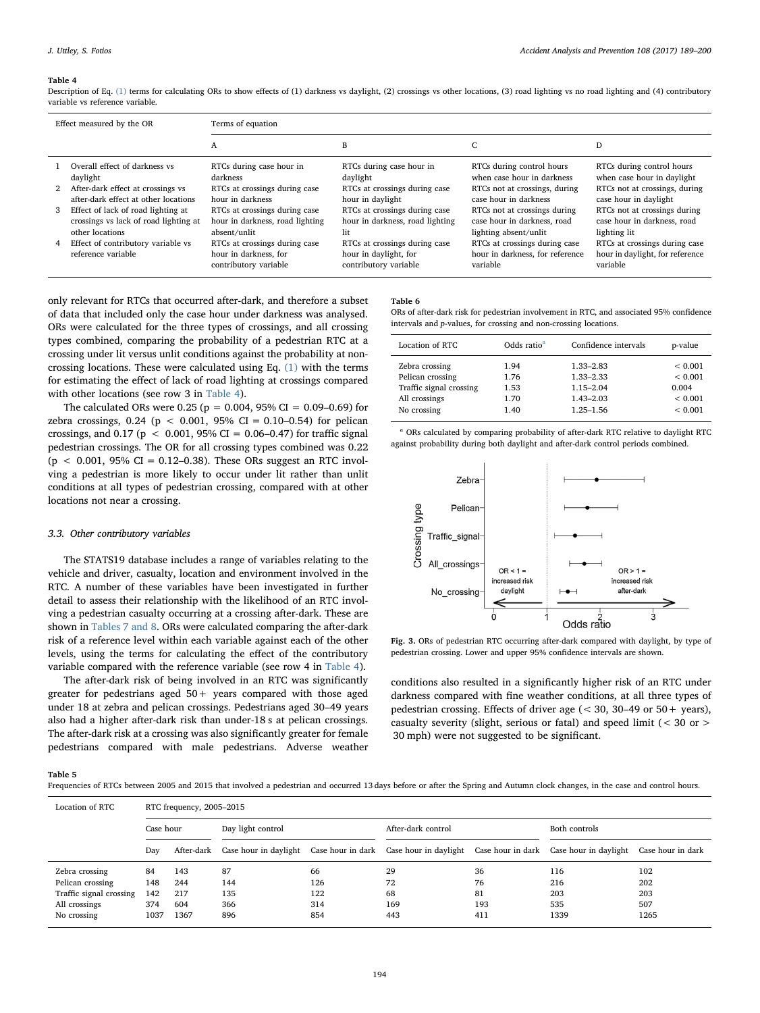#### <span id="page-5-0"></span>Table 4

Description of Eq. [\(1\)](#page-4-1) terms for calculating ORs to show effects of (1) darkness vs daylight, (2) crossings vs other locations, (3) road lighting vs no road lighting and (4) contributory variable vs reference variable.

| Effect measured by the OR |                                                          | Terms of equation                                                               |                                                                                 |                                                                              |                                                                              |  |  |  |
|---------------------------|----------------------------------------------------------|---------------------------------------------------------------------------------|---------------------------------------------------------------------------------|------------------------------------------------------------------------------|------------------------------------------------------------------------------|--|--|--|
|                           |                                                          | A                                                                               | в                                                                               | ι.                                                                           | D                                                                            |  |  |  |
|                           | Overall effect of darkness vs                            | RTCs during case hour in                                                        | RTCs during case hour in                                                        | RTCs during control hours                                                    | RTCs during control hours                                                    |  |  |  |
|                           | daylight                                                 | darkness                                                                        | daylight                                                                        | when case hour in darkness                                                   | when case hour in daylight                                                   |  |  |  |
| 2                         | After-dark effect at crossings vs                        | RTCs at crossings during case                                                   | RTCs at crossings during case                                                   | RTCs not at crossings, during                                                | RTCs not at crossings, during                                                |  |  |  |
|                           | after-dark effect at other locations                     | hour in darkness                                                                | hour in daylight                                                                | case hour in darkness                                                        | case hour in daylight                                                        |  |  |  |
| 3                         | Effect of lack of road lighting at                       | RTCs at crossings during case                                                   | RTCs at crossings during case                                                   | RTCs not at crossings during                                                 | RTCs not at crossings during                                                 |  |  |  |
|                           | crossings vs lack of road lighting at                    | hour in darkness, road lighting                                                 | hour in darkness, road lighting                                                 | case hour in darkness, road                                                  | case hour in darkness, road                                                  |  |  |  |
|                           | other locations                                          | absent/unlit                                                                    | lit                                                                             | lighting absent/unlit                                                        | lighting lit                                                                 |  |  |  |
| $\overline{4}$            | Effect of contributory variable vs<br>reference variable | RTCs at crossings during case<br>hour in darkness, for<br>contributory variable | RTCs at crossings during case<br>hour in daylight, for<br>contributory variable | RTCs at crossings during case<br>hour in darkness, for reference<br>variable | RTCs at crossings during case<br>hour in daylight, for reference<br>variable |  |  |  |

only relevant for RTCs that occurred after-dark, and therefore a subset of data that included only the case hour under darkness was analysed. ORs were calculated for the three types of crossings, and all crossing types combined, comparing the probability of a pedestrian RTC at a crossing under lit versus unlit conditions against the probability at noncrossing locations. These were calculated using Eq. [\(1\)](#page-4-1) with the terms for estimating the effect of lack of road lighting at crossings compared with other locations (see row 3 in [Table 4](#page-5-0)).

The calculated ORs were 0.25 (p = 0.004, 95% CI = 0.09–0.69) for zebra crossings,  $0.24$  (p < 0.001, 95% CI = 0.10–0.54) for pelican crossings, and 0.17 ( $p < 0.001$ , 95% CI = 0.06–0.47) for traffic signal pedestrian crossings. The OR for all crossing types combined was 0.22  $(p < 0.001, 95\% \text{ CI} = 0.12{\text -}0.38)$ . These ORs suggest an RTC involving a pedestrian is more likely to occur under lit rather than unlit conditions at all types of pedestrian crossing, compared with at other locations not near a crossing.

#### 3.3. Other contributory variables

The STATS19 database includes a range of variables relating to the vehicle and driver, casualty, location and environment involved in the RTC. A number of these variables have been investigated in further detail to assess their relationship with the likelihood of an RTC involving a pedestrian casualty occurring at a crossing after-dark. These are shown in [Tables 7 and 8.](#page-6-1) ORs were calculated comparing the after-dark risk of a reference level within each variable against each of the other levels, using the terms for calculating the effect of the contributory variable compared with the reference variable (see row 4 in [Table 4\)](#page-5-0).

The after-dark risk of being involved in an RTC was significantly greater for pedestrians aged 50+ years compared with those aged under 18 at zebra and pelican crossings. Pedestrians aged 30–49 years also had a higher after-dark risk than under-18 s at pelican crossings. The after-dark risk at a crossing was also significantly greater for female pedestrians compared with male pedestrians. Adverse weather

#### <span id="page-5-2"></span>Table 6

ORs of after-dark risk for pedestrian involvement in RTC, and associated 95% confidence intervals and p-values, for crossing and non-crossing locations.

| Location of RTC         | Odds ratio <sup>a</sup> | Confidence intervals | p-value     |
|-------------------------|-------------------------|----------------------|-------------|
| Zebra crossing          | 1.94                    | $1.33 - 2.83$        | ${}< 0.001$ |
| Pelican crossing        | 1.76                    | $1.33 - 2.33$        | ${}< 0.001$ |
| Traffic signal crossing | 1.53                    | $1.15 - 2.04$        | 0.004       |
| All crossings           | 1.70                    | $1.43 - 2.03$        | ${}< 0.001$ |
| No crossing             | 1.40                    | $1.25 - 1.56$        | ${}< 0.001$ |

<span id="page-5-4"></span><sup>a</sup> ORs calculated by comparing probability of after-dark RTC relative to daylight RTC against probability during both daylight and after-dark control periods combined.

<span id="page-5-3"></span>

Fig. 3. ORs of pedestrian RTC occurring after-dark compared with daylight, by type of pedestrian crossing. Lower and upper 95% confidence intervals are shown.

conditions also resulted in a significantly higher risk of an RTC under darkness compared with fine weather conditions, at all three types of pedestrian crossing. Effects of driver age  $(< 30, 30-49$  or  $50+$  years), casualty severity (slight, serious or fatal) and speed limit ( $<$  30 or  $>$ 30 mph) were not suggested to be significant.

<span id="page-5-1"></span>Table 5

| Frequencies of RTCs between 2005 and 2015 that involved a pedestrian and occurred 13 days before or after the Spring and Autumn clock changes, in the case and control hours. |  |  |
|-------------------------------------------------------------------------------------------------------------------------------------------------------------------------------|--|--|
|                                                                                                                                                                               |  |  |

| Location of RTC         | RTC frequency, 2005-2015 |                   |     |                    |     |               |                                                                                                       |                   |  |  |
|-------------------------|--------------------------|-------------------|-----|--------------------|-----|---------------|-------------------------------------------------------------------------------------------------------|-------------------|--|--|
| Case hour               |                          | Day light control |     | After-dark control |     | Both controls |                                                                                                       |                   |  |  |
|                         | Day                      | After-dark        |     |                    |     |               | Case hour in daylight Case hour in dark Case hour in daylight Case hour in dark Case hour in daylight | Case hour in dark |  |  |
| Zebra crossing          | 84                       | 143               | 87  | 66                 | 29  | 36            | 116                                                                                                   | 102               |  |  |
| Pelican crossing        | 148                      | 244               | 144 | 126                | 72  | 76            | 216                                                                                                   | 202               |  |  |
| Traffic signal crossing | 142                      | 217               | 135 | 122                | 68  | 81            | 203                                                                                                   | 203               |  |  |
| All crossings           | 374                      | 604               | 366 | 314                | 169 | 193           | 535                                                                                                   | 507               |  |  |
| No crossing             | 1037                     | 1367              | 896 | 854                | 443 | 411           | 1339                                                                                                  | 1265              |  |  |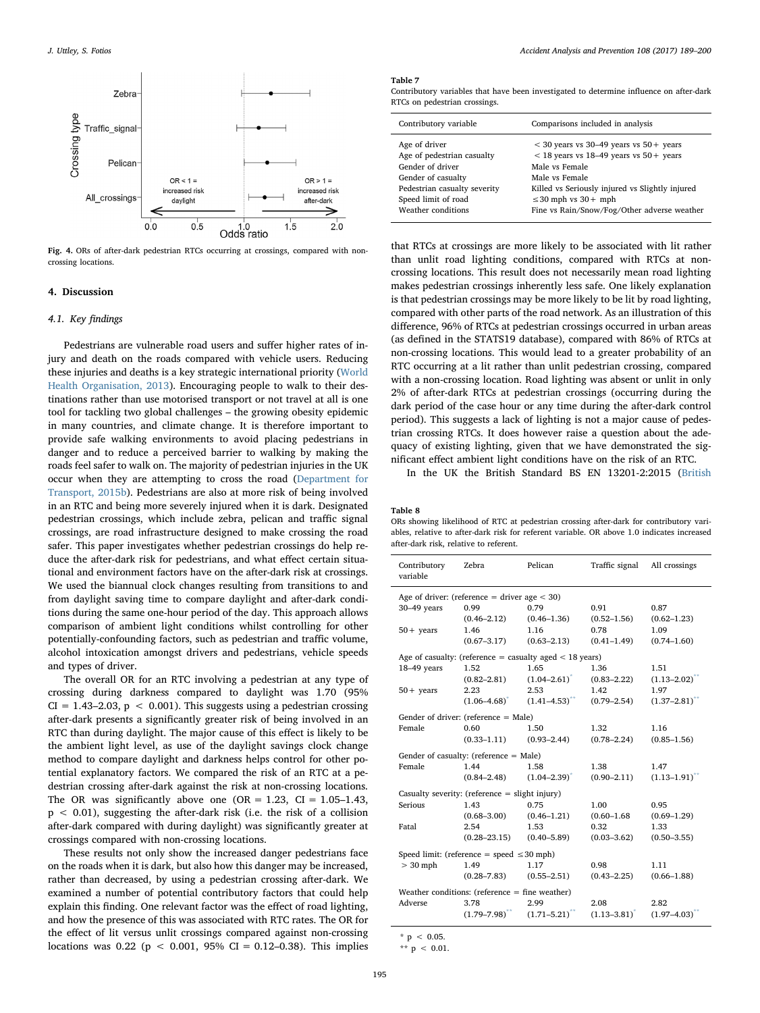<span id="page-6-0"></span>

Fig. 4. ORs of after-dark pedestrian RTCs occurring at crossings, compared with noncrossing locations.

#### 4. Discussion

#### 4.1. Key findings

Pedestrians are vulnerable road users and suffer higher rates of injury and death on the roads compared with vehicle users. Reducing these injuries and deaths is a key strategic international priority ([World](#page-11-25) [Health Organisation, 2013\)](#page-11-25). Encouraging people to walk to their destinations rather than use motorised transport or not travel at all is one tool for tackling two global challenges – the growing obesity epidemic in many countries, and climate change. It is therefore important to provide safe walking environments to avoid placing pedestrians in danger and to reduce a perceived barrier to walking by making the roads feel safer to walk on. The majority of pedestrian injuries in the UK occur when they are attempting to cross the road ([Department for](#page-10-3) [Transport, 2015b](#page-10-3)). Pedestrians are also at more risk of being involved in an RTC and being more severely injured when it is dark. Designated pedestrian crossings, which include zebra, pelican and traffic signal crossings, are road infrastructure designed to make crossing the road safer. This paper investigates whether pedestrian crossings do help reduce the after-dark risk for pedestrians, and what effect certain situational and environment factors have on the after-dark risk at crossings. We used the biannual clock changes resulting from transitions to and from daylight saving time to compare daylight and after-dark conditions during the same one-hour period of the day. This approach allows comparison of ambient light conditions whilst controlling for other potentially-confounding factors, such as pedestrian and traffic volume, alcohol intoxication amongst drivers and pedestrians, vehicle speeds and types of driver.

The overall OR for an RTC involving a pedestrian at any type of crossing during darkness compared to daylight was 1.70 (95%  $CI = 1.43-2.03$ ,  $p < 0.001$ ). This suggests using a pedestrian crossing after-dark presents a significantly greater risk of being involved in an RTC than during daylight. The major cause of this effect is likely to be the ambient light level, as use of the daylight savings clock change method to compare daylight and darkness helps control for other potential explanatory factors. We compared the risk of an RTC at a pedestrian crossing after-dark against the risk at non-crossing locations. The OR was significantly above one (OR = 1.23, CI = 1.05–1.43,  $p < 0.01$ ), suggesting the after-dark risk (i.e. the risk of a collision after-dark compared with during daylight) was significantly greater at crossings compared with non-crossing locations.

These results not only show the increased danger pedestrians face on the roads when it is dark, but also how this danger may be increased, rather than decreased, by using a pedestrian crossing after-dark. We examined a number of potential contributory factors that could help explain this finding. One relevant factor was the effect of road lighting, and how the presence of this was associated with RTC rates. The OR for the effect of lit versus unlit crossings compared against non-crossing locations was 0.22 ( $p < 0.001$ , 95% CI = 0.12-0.38). This implies

#### <span id="page-6-1"></span>Table 7

| Contributory variables that have been investigated to determine influence on after-dark |  |  |
|-----------------------------------------------------------------------------------------|--|--|
| RTCs on pedestrian crossings.                                                           |  |  |

| Contributory variable        | Comparisons included in analysis                |
|------------------------------|-------------------------------------------------|
| Age of driver                | $<$ 30 years vs 30–49 years vs 50 + years       |
| Age of pedestrian casualty   | $<$ 18 years vs 18–49 years vs 50 + years       |
| Gender of driver             | Male vs Female                                  |
| Gender of casualty           | Male vs Female                                  |
| Pedestrian casualty severity | Killed vs Seriously injured vs Slightly injured |
| Speed limit of road          | $\leq$ 30 mph vs 30 + mph                       |
| Weather conditions           | Fine vs Rain/Snow/Fog/Other adverse weather     |

that RTCs at crossings are more likely to be associated with lit rather than unlit road lighting conditions, compared with RTCs at noncrossing locations. This result does not necessarily mean road lighting makes pedestrian crossings inherently less safe. One likely explanation is that pedestrian crossings may be more likely to be lit by road lighting, compared with other parts of the road network. As an illustration of this difference, 96% of RTCs at pedestrian crossings occurred in urban areas (as defined in the STATS19 database), compared with 86% of RTCs at non-crossing locations. This would lead to a greater probability of an RTC occurring at a lit rather than unlit pedestrian crossing, compared with a non-crossing location. Road lighting was absent or unlit in only 2% of after-dark RTCs at pedestrian crossings (occurring during the dark period of the case hour or any time during the after-dark control period). This suggests a lack of lighting is not a major cause of pedestrian crossing RTCs. It does however raise a question about the adequacy of existing lighting, given that we have demonstrated the significant effect ambient light conditions have on the risk of an RTC.

In the UK the British Standard BS EN 13201-2:2015 [\(British](#page-10-9)

#### Table 8

ORs showing likelihood of RTC at pedestrian crossing after-dark for contributory variables, relative to after-dark risk for referent variable. OR above 1.0 indicates increased after-dark risk, relative to referent.

| Contributory<br>variable                       | Zebra                                            | Pelican                                                   | Traffic signal      | All crossings        |  |  |  |  |
|------------------------------------------------|--------------------------------------------------|-----------------------------------------------------------|---------------------|----------------------|--|--|--|--|
| Age of driver: (reference = driver age $<$ 30) |                                                  |                                                           |                     |                      |  |  |  |  |
| $30-49$ years                                  | 0.99                                             | 0.79                                                      | 0.91                | 0.87                 |  |  |  |  |
|                                                | $(0.46 - 2.12)$                                  | $(0.46 - 1.36)$                                           | $(0.52 - 1.56)$     | $(0.62 - 1.23)$      |  |  |  |  |
| $50 + \text{years}$                            | 1.46                                             | 1.16                                                      | 0.78                | 1.09                 |  |  |  |  |
|                                                | $(0.67 - 3.17)$                                  | $(0.63 - 2.13)$                                           | $(0.41 - 1.49)$     | $(0.74 - 1.60)$      |  |  |  |  |
|                                                |                                                  | Age of casualty: (reference = casualty aged $<$ 18 years) |                     |                      |  |  |  |  |
| $18-49$ years                                  | 1.52                                             | 1.65                                                      | 1.36                | 1.51                 |  |  |  |  |
|                                                | $(0.82 - 2.81)$                                  | $(1.04 - 2.61)^*$                                         | $(0.83 - 2.22)$     | $(1.13 - 2.02)^{4}$  |  |  |  |  |
| $50 + \text{years}$                            | 2.23                                             | 2.53                                                      | 1.42                | 1.97                 |  |  |  |  |
|                                                | $(1.06 - 4.68)^*$                                | $(1.41 - 4.53)^{**}$                                      | $(0.79 - 2.54)$     | $(1.37 - 2.81)^{**}$ |  |  |  |  |
|                                                | Gender of driver: (reference $=$ Male)           |                                                           |                     |                      |  |  |  |  |
| Female                                         | 0.60                                             | 1.50                                                      | 1.32                | 1.16                 |  |  |  |  |
|                                                | $(0.33 - 1.11)$                                  | $(0.93 - 2.44)$                                           | $(0.78 - 2.24)$     | $(0.85 - 1.56)$      |  |  |  |  |
|                                                | Gender of casualty: (reference = Male)           |                                                           |                     |                      |  |  |  |  |
| Female                                         | 1.44                                             | 1.58                                                      | 1.38                | 1.47                 |  |  |  |  |
|                                                | $(0.84 - 2.48)$                                  | $(1.04 - 2.39)^{*}$                                       | $(0.90 - 2.11)$     | $(1.13 - 1.91)^{**}$ |  |  |  |  |
|                                                | Casualty severity: (reference $=$ slight injury) |                                                           |                     |                      |  |  |  |  |
| Serious                                        | 1.43                                             | 0.75                                                      | 1.00                | 0.95                 |  |  |  |  |
|                                                | $(0.68 - 3.00)$                                  | $(0.46 - 1.21)$                                           | $(0.60 - 1.68)$     | $(0.69 - 1.29)$      |  |  |  |  |
| Fatal                                          | 2.54                                             | 1.53                                                      | 0.32                | 1.33                 |  |  |  |  |
|                                                | $(0.28 - 23.15)$                                 | $(0.40 - 5.89)$                                           | $(0.03 - 3.62)$     | $(0.50 - 3.55)$      |  |  |  |  |
| Speed limit: (reference = speed $\leq$ 30 mph) |                                                  |                                                           |                     |                      |  |  |  |  |
| $>$ 30 mph                                     | 1.49                                             | 1.17                                                      | 0.98                | 1.11                 |  |  |  |  |
|                                                | $(0.28 - 7.83)$                                  | $(0.55 - 2.51)$                                           | $(0.43 - 2.25)$     | $(0.66 - 1.88)$      |  |  |  |  |
|                                                | Weather conditions: (reference $=$ fine weather) |                                                           |                     |                      |  |  |  |  |
| Adverse                                        | 3.78                                             | 2.99                                                      | 2.08                | 2.82                 |  |  |  |  |
|                                                | $(1.79 - 7.98)^{**}$                             | $(1.71 - 5.21)^{**}$                                      | $(1.13 - 3.81)^{n}$ | $(1.97 - 4.03)$      |  |  |  |  |
|                                                |                                                  |                                                           |                     |                      |  |  |  |  |

<span id="page-6-2"></span>\*  $p$  < 0.05.

<span id="page-6-3"></span>\*\*  $p$  < 0.01.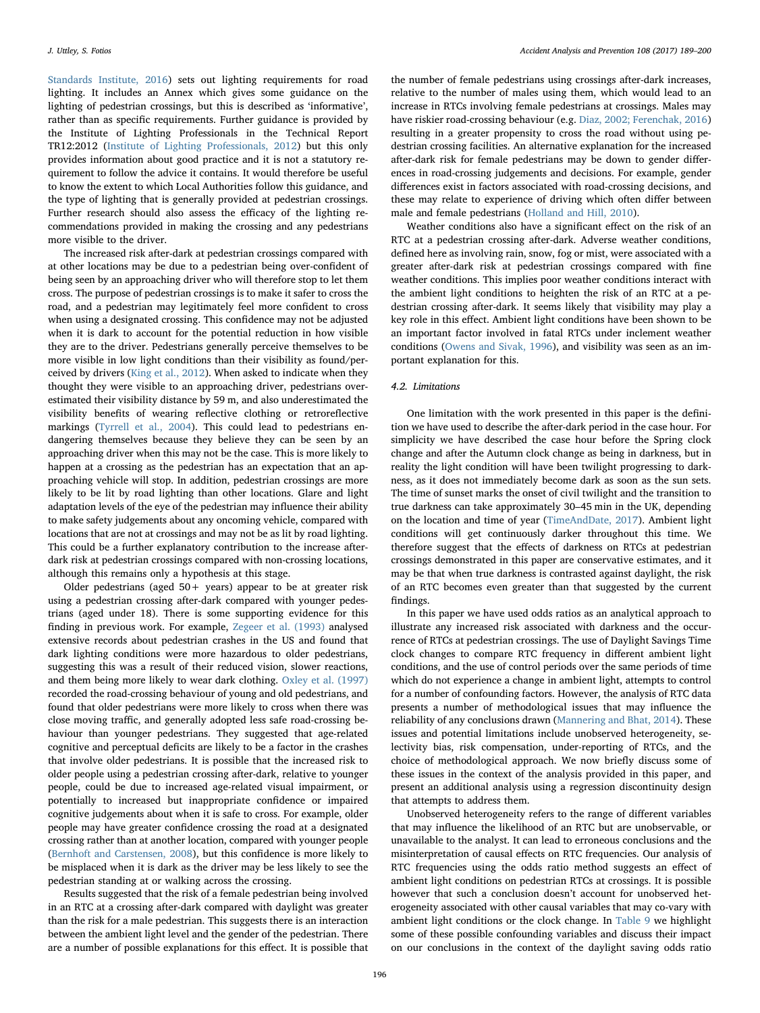[Standards Institute, 2016\)](#page-10-9) sets out lighting requirements for road lighting. It includes an Annex which gives some guidance on the lighting of pedestrian crossings, but this is described as 'informative', rather than as specific requirements. Further guidance is provided by the Institute of Lighting Professionals in the Technical Report TR12:2012 [\(Institute of Lighting Professionals, 2012\)](#page-11-13) but this only provides information about good practice and it is not a statutory requirement to follow the advice it contains. It would therefore be useful to know the extent to which Local Authorities follow this guidance, and the type of lighting that is generally provided at pedestrian crossings. Further research should also assess the efficacy of the lighting recommendations provided in making the crossing and any pedestrians more visible to the driver.

The increased risk after-dark at pedestrian crossings compared with at other locations may be due to a pedestrian being over-confident of being seen by an approaching driver who will therefore stop to let them cross. The purpose of pedestrian crossings is to make it safer to cross the road, and a pedestrian may legitimately feel more confident to cross when using a designated crossing. This confidence may not be adjusted when it is dark to account for the potential reduction in how visible they are to the driver. Pedestrians generally perceive themselves to be more visible in low light conditions than their visibility as found/perceived by drivers ([King et al., 2012\)](#page-11-26). When asked to indicate when they thought they were visible to an approaching driver, pedestrians overestimated their visibility distance by 59 m, and also underestimated the visibility benefits of wearing reflective clothing or retroreflective markings [\(Tyrrell et al., 2004\)](#page-11-27). This could lead to pedestrians endangering themselves because they believe they can be seen by an approaching driver when this may not be the case. This is more likely to happen at a crossing as the pedestrian has an expectation that an approaching vehicle will stop. In addition, pedestrian crossings are more likely to be lit by road lighting than other locations. Glare and light adaptation levels of the eye of the pedestrian may influence their ability to make safety judgements about any oncoming vehicle, compared with locations that are not at crossings and may not be as lit by road lighting. This could be a further explanatory contribution to the increase afterdark risk at pedestrian crossings compared with non-crossing locations, although this remains only a hypothesis at this stage.

Older pedestrians (aged  $50+$  years) appear to be at greater risk using a pedestrian crossing after-dark compared with younger pedestrians (aged under 18). There is some supporting evidence for this finding in previous work. For example, [Zegeer et al. \(1993\)](#page-11-28) analysed extensive records about pedestrian crashes in the US and found that dark lighting conditions were more hazardous to older pedestrians, suggesting this was a result of their reduced vision, slower reactions, and them being more likely to wear dark clothing. [Oxley et al. \(1997\)](#page-11-29) recorded the road-crossing behaviour of young and old pedestrians, and found that older pedestrians were more likely to cross when there was close moving traffic, and generally adopted less safe road-crossing behaviour than younger pedestrians. They suggested that age-related cognitive and perceptual deficits are likely to be a factor in the crashes that involve older pedestrians. It is possible that the increased risk to older people using a pedestrian crossing after-dark, relative to younger people, could be due to increased age-related visual impairment, or potentially to increased but inappropriate confidence or impaired cognitive judgements about when it is safe to cross. For example, older people may have greater confidence crossing the road at a designated crossing rather than at another location, compared with younger people ([Bernhoft and Carstensen, 2008\)](#page-10-10), but this confidence is more likely to be misplaced when it is dark as the driver may be less likely to see the pedestrian standing at or walking across the crossing.

Results suggested that the risk of a female pedestrian being involved in an RTC at a crossing after-dark compared with daylight was greater than the risk for a male pedestrian. This suggests there is an interaction between the ambient light level and the gender of the pedestrian. There are a number of possible explanations for this effect. It is possible that

the number of female pedestrians using crossings after-dark increases, relative to the number of males using them, which would lead to an increase in RTCs involving female pedestrians at crossings. Males may have riskier road-crossing behaviour (e.g. [Diaz, 2002; Ferenchak, 2016\)](#page-10-11) resulting in a greater propensity to cross the road without using pedestrian crossing facilities. An alternative explanation for the increased after-dark risk for female pedestrians may be down to gender differences in road-crossing judgements and decisions. For example, gender differences exist in factors associated with road-crossing decisions, and these may relate to experience of driving which often differ between male and female pedestrians ([Holland and Hill, 2010](#page-11-30)).

Weather conditions also have a significant effect on the risk of an RTC at a pedestrian crossing after-dark. Adverse weather conditions, defined here as involving rain, snow, fog or mist, were associated with a greater after-dark risk at pedestrian crossings compared with fine weather conditions. This implies poor weather conditions interact with the ambient light conditions to heighten the risk of an RTC at a pedestrian crossing after-dark. It seems likely that visibility may play a key role in this effect. Ambient light conditions have been shown to be an important factor involved in fatal RTCs under inclement weather conditions ([Owens and Sivak, 1996](#page-11-31)), and visibility was seen as an important explanation for this.

#### 4.2. Limitations

One limitation with the work presented in this paper is the definition we have used to describe the after-dark period in the case hour. For simplicity we have described the case hour before the Spring clock change and after the Autumn clock change as being in darkness, but in reality the light condition will have been twilight progressing to darkness, as it does not immediately become dark as soon as the sun sets. The time of sunset marks the onset of civil twilight and the transition to true darkness can take approximately 30–45 min in the UK, depending on the location and time of year ([TimeAndDate, 2017](#page-11-32)). Ambient light conditions will get continuously darker throughout this time. We therefore suggest that the effects of darkness on RTCs at pedestrian crossings demonstrated in this paper are conservative estimates, and it may be that when true darkness is contrasted against daylight, the risk of an RTC becomes even greater than that suggested by the current findings.

In this paper we have used odds ratios as an analytical approach to illustrate any increased risk associated with darkness and the occurrence of RTCs at pedestrian crossings. The use of Daylight Savings Time clock changes to compare RTC frequency in different ambient light conditions, and the use of control periods over the same periods of time which do not experience a change in ambient light, attempts to control for a number of confounding factors. However, the analysis of RTC data presents a number of methodological issues that may influence the reliability of any conclusions drawn ([Mannering and Bhat, 2014](#page-11-33)). These issues and potential limitations include unobserved heterogeneity, selectivity bias, risk compensation, under-reporting of RTCs, and the choice of methodological approach. We now briefly discuss some of these issues in the context of the analysis provided in this paper, and present an additional analysis using a regression discontinuity design that attempts to address them.

Unobserved heterogeneity refers to the range of different variables that may influence the likelihood of an RTC but are unobservable, or unavailable to the analyst. It can lead to erroneous conclusions and the misinterpretation of causal effects on RTC frequencies. Our analysis of RTC frequencies using the odds ratio method suggests an effect of ambient light conditions on pedestrian RTCs at crossings. It is possible however that such a conclusion doesn't account for unobserved heterogeneity associated with other causal variables that may co-vary with ambient light conditions or the clock change. In [Table 9](#page-8-0) we highlight some of these possible confounding variables and discuss their impact on our conclusions in the context of the daylight saving odds ratio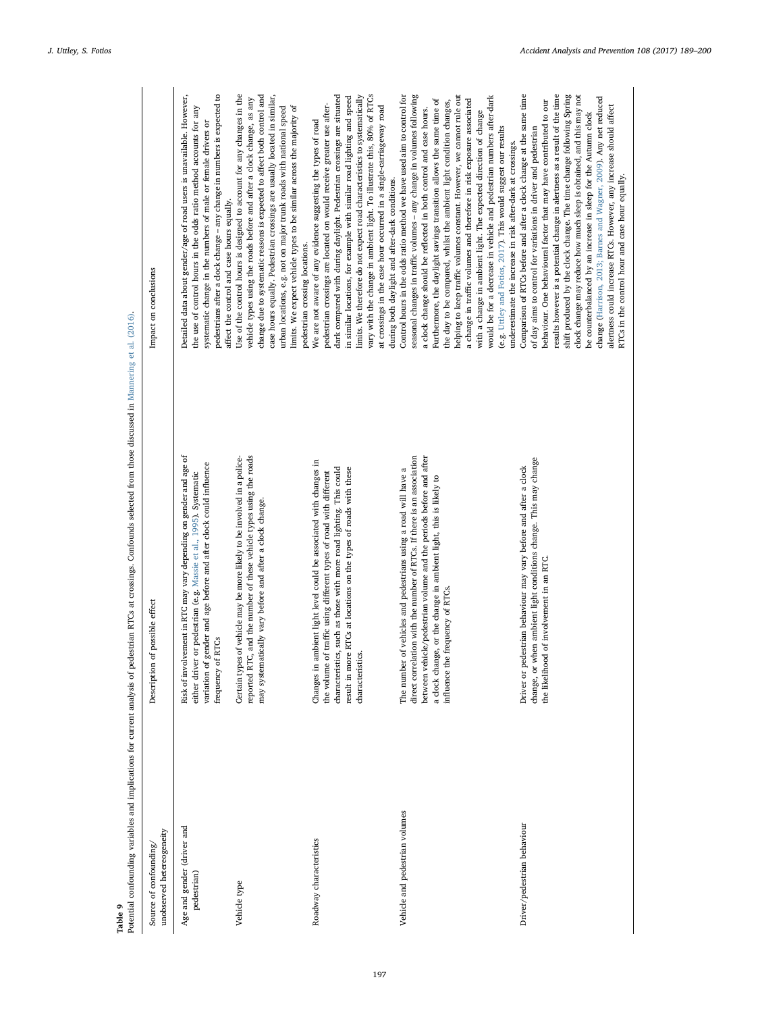|                                      | onfounding variables and implications for current analysis of pedestrian RTCs at crossings. Confounds selected from those discussed in Mar                                                                     |
|--------------------------------------|----------------------------------------------------------------------------------------------------------------------------------------------------------------------------------------------------------------|
| ved hetereogeneity<br>f confounding/ | Description of possible effect                                                                                                                                                                                 |
| gender (driver and<br>strian)        | Risk of involvement in RTC may vary depending on gender and age of<br>variation of gender and age before and after clock could influence<br>either driver or pedestrian (e.g. Massie et al., 1995). Systematic |

mering et al. (2016). Potential confounding variables and implications for current analysis of pedestrian RTCs at crossings. Confounds selected from those discussed in [Mannering](#page-11-34) et al. (2016). Table 9<br>Potential cor

<span id="page-8-0"></span>

| unobserved hetereogeneity<br>Source of confounding/ | Description of possible effect                                                                                                                                                                                                                                                                                              | Impact on conclusions                                                                                                                                                                                                                                                                                                                                                                                                                                                                                                                                                                                                                                                                                                                                                                               |
|-----------------------------------------------------|-----------------------------------------------------------------------------------------------------------------------------------------------------------------------------------------------------------------------------------------------------------------------------------------------------------------------------|-----------------------------------------------------------------------------------------------------------------------------------------------------------------------------------------------------------------------------------------------------------------------------------------------------------------------------------------------------------------------------------------------------------------------------------------------------------------------------------------------------------------------------------------------------------------------------------------------------------------------------------------------------------------------------------------------------------------------------------------------------------------------------------------------------|
| Age and gender (driver and<br>pedestrian)           | vement in RTC may vary depending on gender and age of<br>variation of gender and age before and after clock could influence<br>or pedestrian (e.g. Massie et al., 1995). Systematic<br>RTCs<br>Risk of involy<br>either driver<br>frequency of                                                                              | Detailed data about gender/age of road users is unavailable. However,<br>pedestrians after a clock change - any change in numbers is expected to<br>the use of control hours in the odds ratio method accounts for any<br>systematic change in the numbers of male or female drivers or                                                                                                                                                                                                                                                                                                                                                                                                                                                                                                             |
| Vehicle type                                        | reported RTC, and the number of these vehicle types using the roads<br>Certain types of vehicle may be more likely to be involved in a police-<br>may systematically vary before and after a clock change                                                                                                                   | Use of the control hours is designed to account for any changes in the<br>change due to systematic reasons is expected to affect both control and<br>case hours equally. Pedestrian crossings are usually located in similar,<br>vehicle types using the roads before and after a clock change, as any<br>limits. We expect vehicle types to be similar across the majority of<br>urban locations, e.g. not on major trunk roads with national speed<br>affect the control and case hours equally.                                                                                                                                                                                                                                                                                                  |
| Roadway characteristics                             | Changes in ambient light level could be associated with changes in<br>characteristics, such as those with more road lighting. This could<br>result in more RTCs at locations on the types of roads with these<br>the volume of traffic using different types of road with different<br>characteristics.                     | vary with the change in ambient light. To illustrate this, 80% of RTCs<br>dark compared with during daylight. Pedestrian crossings are situated<br>limits. We therefore do not expect road characteristics to systematically<br>in similar locations, for example with similar road lighting and speed<br>pedestrian crossings are located on would receive greater use after-<br>at crossings in the case hour occurred in a single-carriageway road<br>We are not aware of any evidence suggesting the types of road<br>during both daylight and after-dark conditions.<br>pedestrian crossing locations.                                                                                                                                                                                         |
| Vehicle and pedestrian volumes                      | direct correlation with the number of RTCs. If there is an association<br>between vehicle/pedestrian volume and the periods before and after<br>The number of vehicles and pedestrians using a road will have a<br>a clock change, or the change in ambient light, this is likely to<br>frequency of RTCs.<br>influence the | Control hours in the odds ratio method we have used aim to control for<br>helping to keep traffic volumes constant. However, we cannot rule out<br>seasonal changes in traffic volumes - any change in volumes following<br>would be for a decrease in vehicle and pedestrian numbers after-dark<br>Furthermore, the daylight savings transition allows the same time of<br>a change in traffic volumes and therefore in risk exposure associated<br>the day to be compared, whilst the ambient light condition changes,<br>a clock change should be reflected in both control and case hours.<br>with a change in ambient light. The expected direction of change<br>(e.g. Uttley and Fotios, 2017). This would suggest our results<br>underestimate the increase in risk after-dark at crossings. |
| Driver/pedestrian behaviour                         | change, or when ambient light conditions change. This may change<br>Driver or pedestrian behaviour may vary before and after a clock<br>the likelihood of involvement in an RTC.                                                                                                                                            | clock change may reduce how much sleep is obtained, and this may not<br>Comparison of RTCs before and after a clock change at the same time<br>results however is a potential change in alertness as a result of the time<br>shift produced by the clock change. The time change following Spring<br>change (Harrison, 2013; Barnes and Wagner, 2009). Any net reduced<br>behaviour. One behavioural factor that may have contributed to our<br>alertness could increase RTCs. However, any increase should affect<br>be counterbalanced by an increase in sleep for the Autumn clock<br>of day aims to control for variations in driver and pedestrian<br>RTCs in the control hour and case hour equally.                                                                                          |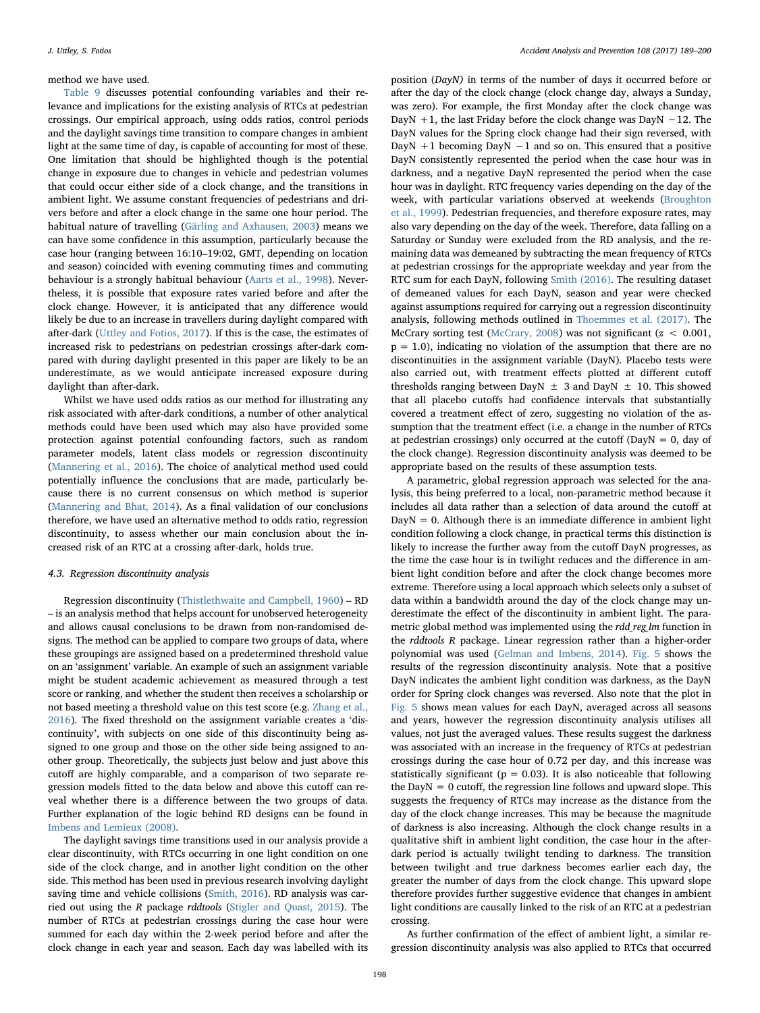#### method we have used.

[Table 9](#page-8-0) discusses potential confounding variables and their relevance and implications for the existing analysis of RTCs at pedestrian crossings. Our empirical approach, using odds ratios, control periods and the daylight savings time transition to compare changes in ambient light at the same time of day, is capable of accounting for most of these. One limitation that should be highlighted though is the potential change in exposure due to changes in vehicle and pedestrian volumes that could occur either side of a clock change, and the transitions in ambient light. We assume constant frequencies of pedestrians and drivers before and after a clock change in the same one hour period. The habitual nature of travelling ([Gärling and Axhausen, 2003](#page-11-18)) means we can have some confidence in this assumption, particularly because the case hour (ranging between 16:10–19:02, GMT, depending on location and season) coincided with evening commuting times and commuting behaviour is a strongly habitual behaviour [\(Aarts et al., 1998](#page-10-8)). Nevertheless, it is possible that exposure rates varied before and after the clock change. However, it is anticipated that any difference would likely be due to an increase in travellers during daylight compared with after-dark ([Uttley and Fotios, 2017](#page-11-36)). If this is the case, the estimates of increased risk to pedestrians on pedestrian crossings after-dark compared with during daylight presented in this paper are likely to be an underestimate, as we would anticipate increased exposure during daylight than after-dark.

Whilst we have used odds ratios as our method for illustrating any risk associated with after-dark conditions, a number of other analytical methods could have been used which may also have provided some protection against potential confounding factors, such as random parameter models, latent class models or regression discontinuity ([Mannering et al., 2016](#page-11-34)). The choice of analytical method used could potentially influence the conclusions that are made, particularly because there is no current consensus on which method is superior ([Mannering and Bhat, 2014\)](#page-11-33). As a final validation of our conclusions therefore, we have used an alternative method to odds ratio, regression discontinuity, to assess whether our main conclusion about the increased risk of an RTC at a crossing after-dark, holds true.

### 4.3. Regression discontinuity analysis

Regression discontinuity ([Thistlethwaite and Campbell, 1960](#page-11-38)) – RD – is an analysis method that helps account for unobserved heterogeneity and allows causal conclusions to be drawn from non-randomised designs. The method can be applied to compare two groups of data, where these groupings are assigned based on a predetermined threshold value on an 'assignment' variable. An example of such an assignment variable might be student academic achievement as measured through a test score or ranking, and whether the student then receives a scholarship or not based meeting a threshold value on this test score (e.g. [Zhang et al.,](#page-11-39) [2016\)](#page-11-39). The fixed threshold on the assignment variable creates a 'discontinuity', with subjects on one side of this discontinuity being assigned to one group and those on the other side being assigned to another group. Theoretically, the subjects just below and just above this cutoff are highly comparable, and a comparison of two separate regression models fitted to the data below and above this cutoff can reveal whether there is a difference between the two groups of data. Further explanation of the logic behind RD designs can be found in [Imbens and Lemieux \(2008\).](#page-11-40)

The daylight savings time transitions used in our analysis provide a clear discontinuity, with RTCs occurring in one light condition on one side of the clock change, and in another light condition on the other side. This method has been used in previous research involving daylight saving time and vehicle collisions ([Smith, 2016\)](#page-11-41). RD analysis was carried out using the R package rddtools [\(Stigler and Quast, 2015\)](#page-11-42). The number of RTCs at pedestrian crossings during the case hour were summed for each day within the 2-week period before and after the clock change in each year and season. Each day was labelled with its

position (DayN) in terms of the number of days it occurred before or after the day of the clock change (clock change day, always a Sunday, was zero). For example, the first Monday after the clock change was DayN +1, the last Friday before the clock change was DayN −12. The DayN values for the Spring clock change had their sign reversed, with DayN +1 becoming DayN  $-1$  and so on. This ensured that a positive DayN consistently represented the period when the case hour was in darkness, and a negative DayN represented the period when the case hour was in daylight. RTC frequency varies depending on the day of the week, with particular variations observed at weekends ([Broughton](#page-10-2) [et al., 1999\)](#page-10-2). Pedestrian frequencies, and therefore exposure rates, may also vary depending on the day of the week. Therefore, data falling on a Saturday or Sunday were excluded from the RD analysis, and the remaining data was demeaned by subtracting the mean frequency of RTCs at pedestrian crossings for the appropriate weekday and year from the RTC sum for each DayN, following [Smith \(2016\).](#page-11-41) The resulting dataset of demeaned values for each DayN, season and year were checked against assumptions required for carrying out a regression discontinuity analysis, following methods outlined in [Thoemmes et al. \(2017\)](#page-11-43). The McCrary sorting test ([McCrary, 2008](#page-11-44)) was not significant ( $z < 0.001$ ,  $p = 1.0$ ), indicating no violation of the assumption that there are no discontinuities in the assignment variable (DayN). Placebo tests were also carried out, with treatment effects plotted at different cutoff thresholds ranging between DayN  $\pm$  3 and DayN  $\pm$  10. This showed that all placebo cutoffs had confidence intervals that substantially covered a treatment effect of zero, suggesting no violation of the assumption that the treatment effect (i.e. a change in the number of RTCs at pedestrian crossings) only occurred at the cutoff (DayN =  $0$ , day of the clock change). Regression discontinuity analysis was deemed to be appropriate based on the results of these assumption tests.

A parametric, global regression approach was selected for the analysis, this being preferred to a local, non-parametric method because it includes all data rather than a selection of data around the cutoff at  $DayN = 0$ . Although there is an immediate difference in ambient light condition following a clock change, in practical terms this distinction is likely to increase the further away from the cutoff DayN progresses, as the time the case hour is in twilight reduces and the difference in ambient light condition before and after the clock change becomes more extreme. Therefore using a local approach which selects only a subset of data within a bandwidth around the day of the clock change may underestimate the effect of the discontinuity in ambient light. The parametric global method was implemented using the rdd reg lm function in the rddtools R package. Linear regression rather than a higher-order polynomial was used [\(Gelman and Imbens, 2014](#page-11-45)). [Fig. 5](#page-10-12) shows the results of the regression discontinuity analysis. Note that a positive DayN indicates the ambient light condition was darkness, as the DayN order for Spring clock changes was reversed. Also note that the plot in [Fig. 5](#page-10-12) shows mean values for each DayN, averaged across all seasons and years, however the regression discontinuity analysis utilises all values, not just the averaged values. These results suggest the darkness was associated with an increase in the frequency of RTCs at pedestrian crossings during the case hour of 0.72 per day, and this increase was statistically significant ( $p = 0.03$ ). It is also noticeable that following the DayN  $= 0$  cutoff, the regression line follows and upward slope. This suggests the frequency of RTCs may increase as the distance from the day of the clock change increases. This may be because the magnitude of darkness is also increasing. Although the clock change results in a qualitative shift in ambient light condition, the case hour in the afterdark period is actually twilight tending to darkness. The transition between twilight and true darkness becomes earlier each day, the greater the number of days from the clock change. This upward slope therefore provides further suggestive evidence that changes in ambient light conditions are causally linked to the risk of an RTC at a pedestrian crossing.

As further confirmation of the effect of ambient light, a similar regression discontinuity analysis was also applied to RTCs that occurred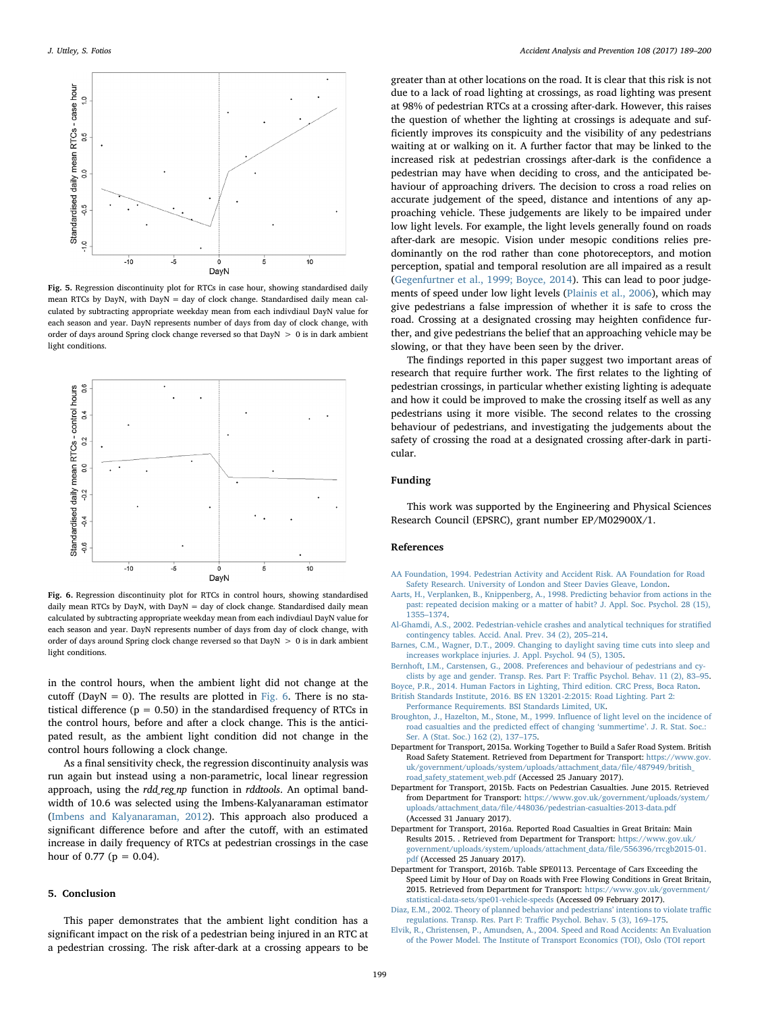<span id="page-10-12"></span>

Fig. 5. Regression discontinuity plot for RTCs in case hour, showing standardised daily mean RTCs by DayN, with DayN = day of clock change. Standardised daily mean calculated by subtracting appropriate weekday mean from each indivdiaul DayN value for each season and year. DayN represents number of days from day of clock change, with order of days around Spring clock change reversed so that  $DayN > 0$  is in dark ambient light conditions.

<span id="page-10-13"></span>

Fig. 6. Regression discontinuity plot for RTCs in control hours, showing standardised daily mean RTCs by DayN, with DayN = day of clock change. Standardised daily mean calculated by subtracting appropriate weekday mean from each indivdiaul DayN value for each season and year. DayN represents number of days from day of clock change, with order of days around Spring clock change reversed so that DayN  $> 0$  is in dark ambient light conditions.

in the control hours, when the ambient light did not change at the cutoff (DayN = 0). The results are plotted in [Fig. 6.](#page-10-13) There is no statistical difference ( $p = 0.50$ ) in the standardised frequency of RTCs in the control hours, before and after a clock change. This is the anticipated result, as the ambient light condition did not change in the control hours following a clock change.

As a final sensitivity check, the regression discontinuity analysis was run again but instead using a non-parametric, local linear regression approach, using the rdd\_reg\_np function in rddtools. An optimal bandwidth of 10.6 was selected using the Imbens-Kalyanaraman estimator ([Imbens and Kalyanaraman, 2012](#page-11-46)). This approach also produced a significant difference before and after the cutoff, with an estimated increase in daily frequency of RTCs at pedestrian crossings in the case hour of 0.77 ( $p = 0.04$ ).

#### 5. Conclusion

This paper demonstrates that the ambient light condition has a significant impact on the risk of a pedestrian being injured in an RTC at a pedestrian crossing. The risk after-dark at a crossing appears to be

greater than at other locations on the road. It is clear that this risk is not due to a lack of road lighting at crossings, as road lighting was present at 98% of pedestrian RTCs at a crossing after-dark. However, this raises the question of whether the lighting at crossings is adequate and sufficiently improves its conspicuity and the visibility of any pedestrians waiting at or walking on it. A further factor that may be linked to the increased risk at pedestrian crossings after-dark is the confidence a pedestrian may have when deciding to cross, and the anticipated behaviour of approaching drivers. The decision to cross a road relies on accurate judgement of the speed, distance and intentions of any approaching vehicle. These judgements are likely to be impaired under low light levels. For example, the light levels generally found on roads after-dark are mesopic. Vision under mesopic conditions relies predominantly on the rod rather than cone photoreceptors, and motion perception, spatial and temporal resolution are all impaired as a result ([Gegenfurtner et al., 1999; Boyce, 2014\)](#page-11-47). This can lead to poor judgements of speed under low light levels ([Plainis et al., 2006\)](#page-11-48), which may give pedestrians a false impression of whether it is safe to cross the road. Crossing at a designated crossing may heighten confidence further, and give pedestrians the belief that an approaching vehicle may be slowing, or that they have been seen by the driver.

The findings reported in this paper suggest two important areas of research that require further work. The first relates to the lighting of pedestrian crossings, in particular whether existing lighting is adequate and how it could be improved to make the crossing itself as well as any pedestrians using it more visible. The second relates to the crossing behaviour of pedestrians, and investigating the judgements about the safety of crossing the road at a designated crossing after-dark in particular.

### Funding

This work was supported by the Engineering and Physical Sciences Research Council (EPSRC), grant number EP/M02900X/1.

#### References

- <span id="page-10-6"></span>[AA Foundation, 1994. Pedestrian Activity and Accident Risk. AA Foundation for Road](http://refhub.elsevier.com/S0001-4575(17)30320-2/sbref0005) [Safety Research. University of London and Steer Davies Gleave, London](http://refhub.elsevier.com/S0001-4575(17)30320-2/sbref0005).
- <span id="page-10-8"></span>[Aarts, H., Verplanken, B., Knippenberg, A., 1998. Predicting behavior from actions in the](http://refhub.elsevier.com/S0001-4575(17)30320-2/sbref0010) [past: repeated decision making or a matter of habit? J. Appl. Soc. Psychol. 28 \(15\),](http://refhub.elsevier.com/S0001-4575(17)30320-2/sbref0010) 1355–[1374](http://refhub.elsevier.com/S0001-4575(17)30320-2/sbref0010).
- <span id="page-10-7"></span>[Al-Ghamdi, A.S., 2002. Pedestrian-vehicle crashes and analytical techniques for strati](http://refhub.elsevier.com/S0001-4575(17)30320-2/sbref0015)fied [contingency tables. Accid. Anal. Prev. 34 \(2\), 205](http://refhub.elsevier.com/S0001-4575(17)30320-2/sbref0015)–214.
- [Barnes, C.M., Wagner, D.T., 2009. Changing to daylight saving time cuts into sleep and](http://refhub.elsevier.com/S0001-4575(17)30320-2/sbref0020) [increases workplace injuries. J. Appl. Psychol. 94 \(5\), 1305](http://refhub.elsevier.com/S0001-4575(17)30320-2/sbref0020).
- <span id="page-10-10"></span>[Bernhoft, I.M., Carstensen, G., 2008. Preferences and behaviour of pedestrians and cy](http://refhub.elsevier.com/S0001-4575(17)30320-2/sbref0025)[clists by age and gender. Transp. Res. Part F: Tra](http://refhub.elsevier.com/S0001-4575(17)30320-2/sbref0025)ffic Psychol. Behav. 11 (2), 83–95.
- <span id="page-10-9"></span>[Boyce, P.R., 2014. Human Factors in Lighting, Third edition. CRC Press, Boca Raton](http://refhub.elsevier.com/S0001-4575(17)30320-2/sbref0030). [British Standards Institute, 2016. BS EN 13201-2:2015: Road Lighting. Part 2:](http://refhub.elsevier.com/S0001-4575(17)30320-2/sbref0035)
- [Performance Requirements. BSI Standards Limited, UK.](http://refhub.elsevier.com/S0001-4575(17)30320-2/sbref0035)
- <span id="page-10-2"></span>[Broughton, J., Hazelton, M., Stone, M., 1999. In](http://refhub.elsevier.com/S0001-4575(17)30320-2/sbref0040)fluence of light level on the incidence of [road casualties and the predicted e](http://refhub.elsevier.com/S0001-4575(17)30320-2/sbref0040)ffect of changing 'summertime'. J. R. Stat. Soc.: [Ser. A \(Stat. Soc.\) 162 \(2\), 137](http://refhub.elsevier.com/S0001-4575(17)30320-2/sbref0040)–175.
- <span id="page-10-0"></span>Department for Transport, 2015a. Working Together to Build a Safer Road System. British Road Safety Statement. Retrieved from Department for Transport: [https://www.gov.](https://www.gov.uk/government/uploads/system/uploads/attachment_data/file/487949/british_road_safety_statement_web.pdf) [uk/government/uploads/system/uploads/attachment\\_data/](https://www.gov.uk/government/uploads/system/uploads/attachment_data/file/487949/british_road_safety_statement_web.pdf)file/487949/british\_ road safety statement web.pdf (Accessed 25 January 2017).
- <span id="page-10-3"></span>Department for Transport, 2015b. Facts on Pedestrian Casualties. June 2015. Retrieved from Department for Transport: [https://www.gov.uk/government/uploads/system/](https://www.gov.uk/government/uploads/system/uploads/attachment_data/file/448036/pedestrian-casualties-2013-data.pdf) uploads/attachment\_data/fi[le/448036/pedestrian-casualties-2013-data.pdf](https://www.gov.uk/government/uploads/system/uploads/attachment_data/file/448036/pedestrian-casualties-2013-data.pdf) (Accessed 31 January 2017).
- <span id="page-10-1"></span>Department for Transport, 2016a. Reported Road Casualties in Great Britain: Main Results 2015. . Retrieved from Department for Transport: [https://www.gov.uk/](https://www.gov.uk/government/uploads/system/uploads/attachment_data/file/556396/rrcgb2015-01.pdf) [government/uploads/system/uploads/attachment\\_data/](https://www.gov.uk/government/uploads/system/uploads/attachment_data/file/556396/rrcgb2015-01.pdf)file/556396/rrcgb2015-01. [pdf](https://www.gov.uk/government/uploads/system/uploads/attachment_data/file/556396/rrcgb2015-01.pdf) (Accessed 25 January 2017).
- <span id="page-10-4"></span>Department for Transport, 2016b. Table SPE0113. Percentage of Cars Exceeding the Speed Limit by Hour of Day on Roads with Free Flowing Conditions in Great Britain, 2015. Retrieved from Department for Transport: [https://www.gov.uk/government/](https://www.gov.uk/government/statistical-data-sets/spe01-vehicle-speeds) [statistical-data-sets/spe01-vehicle-speeds](https://www.gov.uk/government/statistical-data-sets/spe01-vehicle-speeds) (Accessed 09 February 2017).
- <span id="page-10-11"></span>[Diaz, E.M., 2002. Theory of planned behavior and pedestrians](http://refhub.elsevier.com/S0001-4575(17)30320-2/sbref0065)' intentions to violate traffic [regulations. Transp. Res. Part F: Tra](http://refhub.elsevier.com/S0001-4575(17)30320-2/sbref0065)ffic Psychol. Behav. 5 (3), 169–175.
- <span id="page-10-5"></span>[Elvik, R., Christensen, P., Amundsen, A., 2004. Speed and Road Accidents: An Evaluation](http://refhub.elsevier.com/S0001-4575(17)30320-2/sbref0070) [of the Power Model. The Institute of Transport Economics \(TOI\), Oslo \(TOI report](http://refhub.elsevier.com/S0001-4575(17)30320-2/sbref0070)